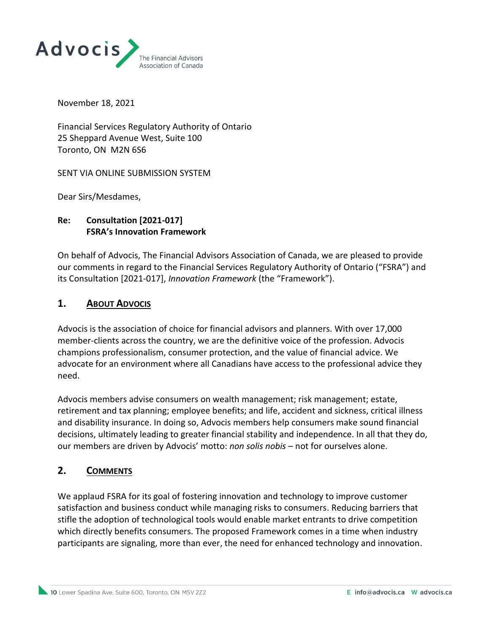

November 18, 2021

Financial Services Regulatory Authority of Ontario 25 Sheppard Avenue West, Suite 100 Toronto, ON M2N 6S6

SENT VIA ONLINE SUBMISSION SYSTEM

Dear Sirs/Mesdames,

## **Re: Consultation [2021-017] FSRA's Innovation Framework**

On behalf of Advocis, The Financial Advisors Association of Canada, we are pleased to provide our comments in regard to the Financial Services Regulatory Authority of Ontario ("FSRA") and its Consultation [2021-017], *Innovation Framework* (the "Framework").

## **1. ABOUT ADVOCIS**

Advocis is the association of choice for financial advisors and planners. With over 17,000 member-clients across the country, we are the definitive voice of the profession. Advocis champions professionalism, consumer protection, and the value of financial advice. We advocate for an environment where all Canadians have access to the professional advice they need.

Advocis members advise consumers on wealth management; risk management; estate, retirement and tax planning; employee benefits; and life, accident and sickness, critical illness and disability insurance. In doing so, Advocis members help consumers make sound financial decisions, ultimately leading to greater financial stability and independence. In all that they do, our members are driven by Advocis' motto: *non solis nobis* – not for ourselves alone.

## **2. COMMENTS**

We applaud FSRA for its goal of fostering innovation and technology to improve customer satisfaction and business conduct while managing risks to consumers. Reducing barriers that stifle the adoption of technological tools would enable market entrants to drive competition which directly benefits consumers. The proposed Framework comes in a time when industry participants are signaling, more than ever, the need for enhanced technology and innovation.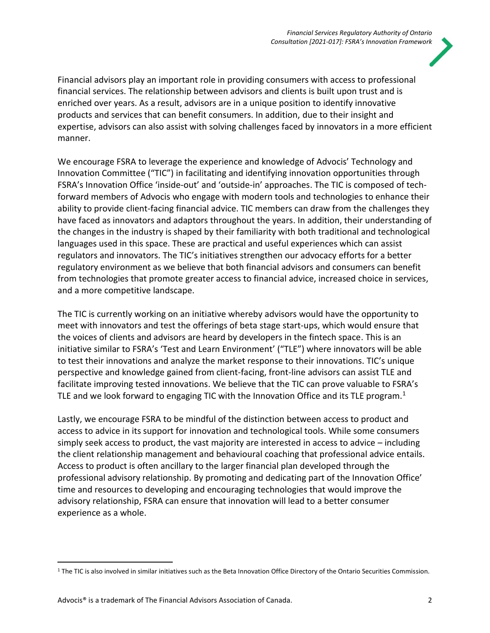

Financial advisors play an important role in providing consumers with access to professional financial services. The relationship between advisors and clients is built upon trust and is enriched over years. As a result, advisors are in a unique position to identify innovative products and services that can benefit consumers. In addition, due to their insight and expertise, advisors can also assist with solving challenges faced by innovators in a more efficient manner.

We encourage FSRA to leverage the experience and knowledge of Advocis' Technology and Innovation Committee ("TIC") in facilitating and identifying innovation opportunities through FSRA's Innovation Office 'inside-out' and 'outside-in' approaches. The TIC is composed of techforward members of Advocis who engage with modern tools and technologies to enhance their ability to provide client-facing financial advice. TIC members can draw from the challenges they have faced as innovators and adaptors throughout the years. In addition, their understanding of the changes in the industry is shaped by their familiarity with both traditional and technological languages used in this space. These are practical and useful experiences which can assist regulators and innovators. The TIC's initiatives strengthen our advocacy efforts for a better regulatory environment as we believe that both financial advisors and consumers can benefit from technologies that promote greater access to financial advice, increased choice in services, and a more competitive landscape.

The TIC is currently working on an initiative whereby advisors would have the opportunity to meet with innovators and test the offerings of beta stage start-ups, which would ensure that the voices of clients and advisors are heard by developers in the fintech space. This is an initiative similar to FSRA's 'Test and Learn Environment' ("TLE") where innovators will be able to test their innovations and analyze the market response to their innovations. TIC's unique perspective and knowledge gained from client-facing, front-line advisors can assist TLE and facilitate improving tested innovations. We believe that the TIC can prove valuable to FSRA's TLE and we look forward to engaging TIC with the Innovation Office and its TLE program.<sup>1</sup>

Lastly, we encourage FSRA to be mindful of the distinction between access to product and access to advice in its support for innovation and technological tools. While some consumers simply seek access to product, the vast majority are interested in access to advice – including the client relationship management and behavioural coaching that professional advice entails. Access to product is often ancillary to the larger financial plan developed through the professional advisory relationship. By promoting and dedicating part of the Innovation Office' time and resources to developing and encouraging technologies that would improve the advisory relationship, FSRA can ensure that innovation will lead to a better consumer experience as a whole.

<sup>&</sup>lt;sup>1</sup> The TIC is also involved in similar initiatives such as the Beta Innovation Office Directory of the Ontario Securities Commission.